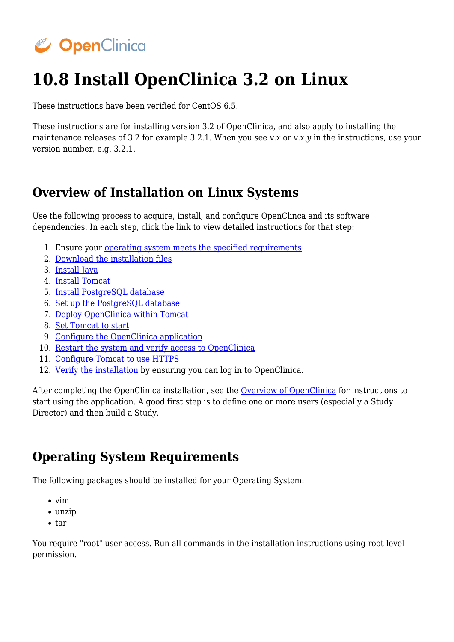# CopenClinica

# **10.8 Install OpenClinica 3.2 on Linux**

These instructions have been verified for CentOS 6.5.

These instructions are for installing version 3.2 of OpenClinica, and also apply to installing the maintenance releases of 3.2 for example 3.2.1. When you see *v.x* or *v.x.y* in the instructions, use your version number, e.g. 3.2.1.

# **Overview of Installation on Linux Systems**

Use the following process to acquire, install, and configure OpenClinca and its software dependencies. In each step, click the link to view detailed instructions for that step:

- 1. Ensure your [operating system meets the specified requirements](#page-0-0)
- 2. [Download the installation files](#page-0-1)
- 3. [Install Java](#page-2-0)
- 4. [Install Tomcat](#page-2-1)
- 5. [Install PostgreSQL database](#page-3-0)
- 6. [Set up the PostgreSQL database](#page-4-0)
- 7. [Deploy OpenClinica within Tomcat](#page-4-1)
- 8. [Set Tomcat to start](#page-5-0)
- 9. [Configure the OpenClinica application](#page-6-0)
- 10. [Restart the system and verify access to OpenClinica](#page-33-0)
- 11. [Configure Tomcat to use HTTPS](#page-33-1)
- 12. [Verify the installation](#page-34-0) by ensuring you can log in to OpenClinica.

After completing the OpenClinica installation, see the [Overview of OpenClinica](https://docs.openclinica.com/3.1/openclinica-user-guide/overview-openclinica) for instructions to start using the application. A good first step is to define one or more users (especially a Study Director) and then build a Study.

# <span id="page-0-0"></span>**Operating System Requirements**

The following packages should be installed for your Operating System:

- $\bullet$  vim
- unzip
- $\bullet$  tar

<span id="page-0-1"></span>You require "root" user access. Run all commands in the installation instructions using root-level permission.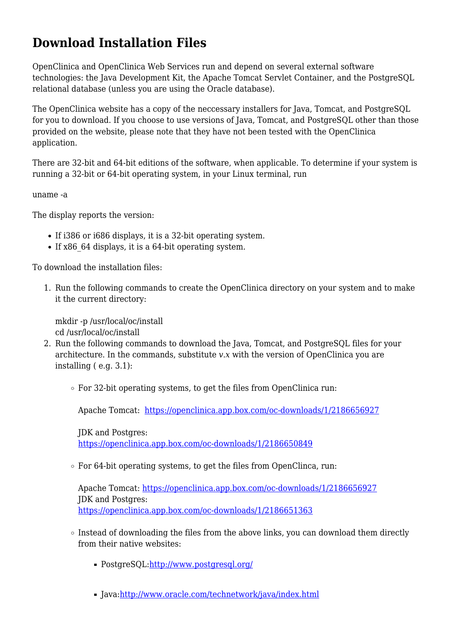# **Download Installation Files**

OpenClinica and OpenClinica Web Services run and depend on several external software technologies: the Java Development Kit, the Apache Tomcat Servlet Container, and the PostgreSQL relational database (unless you are using the Oracle database).

The OpenClinica website has a copy of the neccessary installers for Java, Tomcat, and PostgreSQL for you to download. If you choose to use versions of Java, Tomcat, and PostgreSQL other than those provided on the website, please note that they have not been tested with the OpenClinica application.

There are 32-bit and 64-bit editions of the software, when applicable. To determine if your system is running a 32-bit or 64-bit operating system, in your Linux terminal, run

uname -a

The display reports the version:

- If i386 or i686 displays, it is a 32-bit operating system.
- If x86 64 displays, it is a 64-bit operating system.

To download the installation files:

1. Run the following commands to create the OpenClinica directory on your system and to make it the current directory:

mkdir -p /usr/local/oc/install cd /usr/local/oc/install

- 2. Run the following commands to download the Java, Tomcat, and PostgreSQL files for your architecture. In the commands, substitute *v.x* with the version of OpenClinica you are installing ( e.g. 3.1):
	- For 32-bit operating systems, to get the files from OpenClinica run:

Apache Tomcat: [https://openclinica.app.box.com/oc-downloads/1/2186656927](https://openclinica.app.box.com/oc-downloads/1/2186650849)

JDK and Postgres: <https://openclinica.app.box.com/oc-downloads/1/2186650849>

 $\circ$  For 64-bit operating systems, to get the files from OpenClinca, run:

Apache Tomcat: [https://openclinica.app.box.com/oc-downloads/1/2186656927](https://openclinica.app.box.com/oc-downloads/1/2186650849) JDK and Postgres: <https://openclinica.app.box.com/oc-downloads/1/2186651363>

- $\circ$  Instead of downloading the files from the above links, you can download them directly from their native websites:
	- PostgreSQL:<http://www.postgresql.org/>
	- Java[:http://www.oracle.com/technetwork/java/index.html](http://www.oracle.com/technetwork/java/index.html)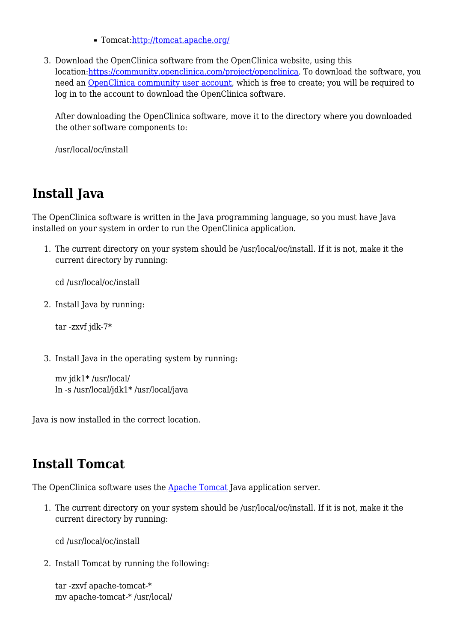Tomcat[:http://tomcat.apache.org/](http://tomcat.apache.org/)

3. Download the OpenClinica software from the OpenClinica website, using this location:<https://community.openclinica.com/project/openclinica>. To download the software, you need an [OpenClinica community user account,](https://community.openclinica.com/user/register) which is free to create; you will be required to log in to the account to download the OpenClinica software.

After downloading the OpenClinica software, move it to the directory where you downloaded the other software components to:

/usr/local/oc/install

# <span id="page-2-0"></span>**Install Java**

The OpenClinica software is written in the Java programming language, so you must have Java installed on your system in order to run the OpenClinica application.

1. The current directory on your system should be /usr/local/oc/install. If it is not, make it the current directory by running:

cd /usr/local/oc/install

2. Install Java by running:

tar -zxvf jdk-7\*

3. Install Java in the operating system by running:

```
mv jdk1* /usr/local/
ln -s /usr/local/jdk1* /usr/local/java
```
Java is now installed in the correct location.

# <span id="page-2-1"></span>**Install Tomcat**

The OpenClinica software uses the **Apache Tomcat** Java application server.

1. The current directory on your system should be /usr/local/oc/install. If it is not, make it the current directory by running:

cd /usr/local/oc/install

2. Install Tomcat by running the following:

tar -zxvf apache-tomcat-\* mv apache-tomcat-\* /usr/local/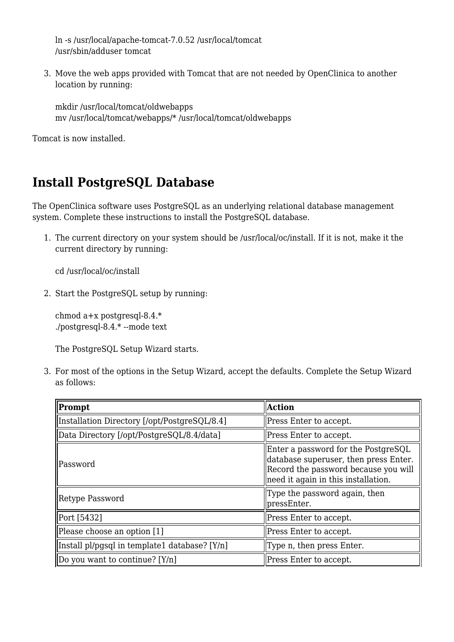ln -s /usr/local/apache-tomcat-7.0.52 /usr/local/tomcat /usr/sbin/adduser tomcat

3. Move the web apps provided with Tomcat that are not needed by OpenClinica to another location by running:

mkdir /usr/local/tomcat/oldwebapps mv /usr/local/tomcat/webapps/\* /usr/local/tomcat/oldwebapps

Tomcat is now installed.

# <span id="page-3-0"></span>**Install PostgreSQL Database**

The OpenClinica software uses PostgreSQL as an underlying relational database management system. Complete these instructions to install the PostgreSQL database.

1. The current directory on your system should be /usr/local/oc/install. If it is not, make it the current directory by running:

cd /usr/local/oc/install

2. Start the PostgreSQL setup by running:

chmod a+x postgresql-8.4.\* ./postgresql-8.4.\* --mode text

The PostgreSQL Setup Wizard starts.

3. For most of the options in the Setup Wizard, accept the defaults. Complete the Setup Wizard as follows:

| Prompt                                        | <b>Action</b>                                                                                                                                               |
|-----------------------------------------------|-------------------------------------------------------------------------------------------------------------------------------------------------------------|
| Installation Directory [/opt/PostgreSQL/8.4]  | Press Enter to accept.                                                                                                                                      |
| Data Directory [/opt/PostgreSQL/8.4/data]     | Press Enter to accept.                                                                                                                                      |
| lPassword                                     | Enter a password for the PostgreSQL<br>database superuser, then press Enter.<br>Record the password because you will<br>need it again in this installation. |
| Retype Password                               | Type the password again, then<br>pressEnter.                                                                                                                |
| Port [5432]                                   | Press Enter to accept.                                                                                                                                      |
| Please choose an option [1]                   | Press Enter to accept.                                                                                                                                      |
| Install pl/pgsql in template1 database? [Y/n] | Type n, then press Enter.                                                                                                                                   |
| Do you want to continue? $[Y/n]$              | Press Enter to accept.                                                                                                                                      |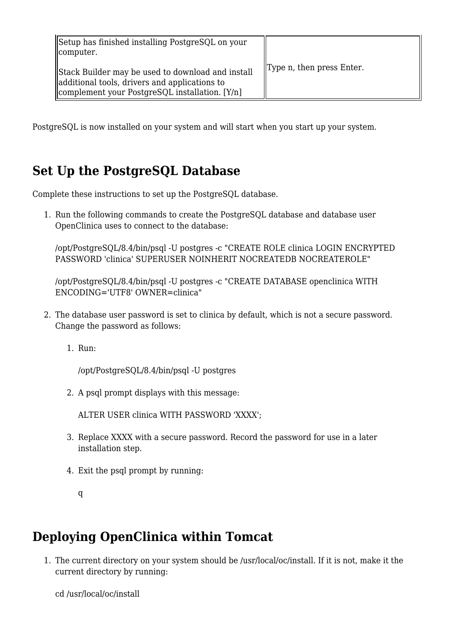| Setup has finished installing PostgreSQL on your<br>computer.                                                                                        |                                        |
|------------------------------------------------------------------------------------------------------------------------------------------------------|----------------------------------------|
| Stack Builder may be used to download and install<br>additional tools, drivers and applications to<br>complement your PostgreSQL installation. [Y/n] | $\mathbf{y}$ Type n, then press Enter. |

PostgreSQL is now installed on your system and will start when you start up your system.

# <span id="page-4-0"></span>**Set Up the PostgreSQL Database**

Complete these instructions to set up the PostgreSQL database.

1. Run the following commands to create the PostgreSQL database and database user OpenClinica uses to connect to the database:

/opt/PostgreSQL/8.4/bin/psql -U postgres -c "CREATE ROLE clinica LOGIN ENCRYPTED PASSWORD 'clinica' SUPERUSER NOINHERIT NOCREATEDB NOCREATEROLE"

/opt/PostgreSQL/8.4/bin/psql -U postgres -c "CREATE DATABASE openclinica WITH ENCODING='UTF8' OWNER=clinica"

- 2. The database user password is set to clinica by default, which is not a secure password. Change the password as follows:
	- 1. Run:

/opt/PostgreSQL/8.4/bin/psql -U postgres

2. A psql prompt displays with this message:

ALTER USER clinica WITH PASSWORD 'XXXX';

- 3. Replace XXXX with a secure password. Record the password for use in a later installation step.
- 4. Exit the psql prompt by running:

# <span id="page-4-1"></span>**Deploying OpenClinica within Tomcat**

1. The current directory on your system should be /usr/local/oc/install. If it is not, make it the current directory by running:

cd /usr/local/oc/install

q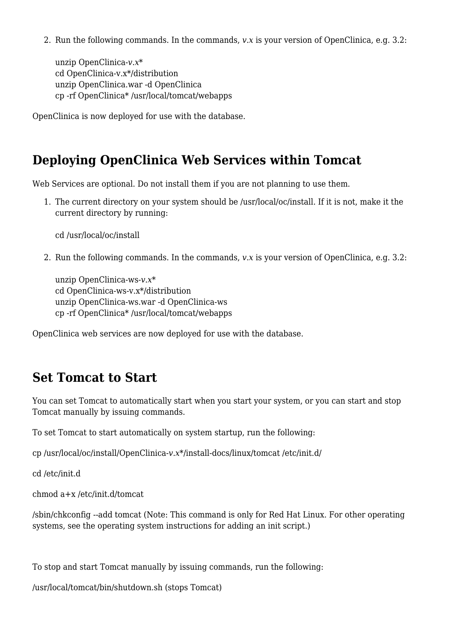2. Run the following commands. In the commands, *v.x* is your version of OpenClinica, e.g. 3.2:

unzip OpenClinica-*v.x*\* cd OpenClinica-v.x\*/distribution unzip OpenClinica.war -d OpenClinica cp -rf OpenClinica\* /usr/local/tomcat/webapps

OpenClinica is now deployed for use with the database.

# **Deploying OpenClinica Web Services within Tomcat**

Web Services are optional. Do not install them if you are not planning to use them.

1. The current directory on your system should be /usr/local/oc/install. If it is not, make it the current directory by running:

cd /usr/local/oc/install

2. Run the following commands. In the commands, *v.x* is your version of OpenClinica, e.g. 3.2:

unzip OpenClinica-ws*-v.x*\* cd OpenClinica-ws-v.x\*/distribution unzip OpenClinica-ws.war -d OpenClinica-ws cp -rf OpenClinica\* /usr/local/tomcat/webapps

OpenClinica web services are now deployed for use with the database.

# <span id="page-5-0"></span>**Set Tomcat to Start**

You can set Tomcat to automatically start when you start your system, or you can start and stop Tomcat manually by issuing commands.

To set Tomcat to start automatically on system startup, run the following:

cp /usr/local/oc/install/OpenClinica-*v.x*\*/install-docs/linux/tomcat /etc/init.d/

cd /etc/init.d

chmod a+x /etc/init.d/tomcat

/sbin/chkconfig --add tomcat (Note: This command is only for Red Hat Linux. For other operating systems, see the operating system instructions for adding an init script.)

To stop and start Tomcat manually by issuing commands, run the following:

/usr/local/tomcat/bin/shutdown.sh (stops Tomcat)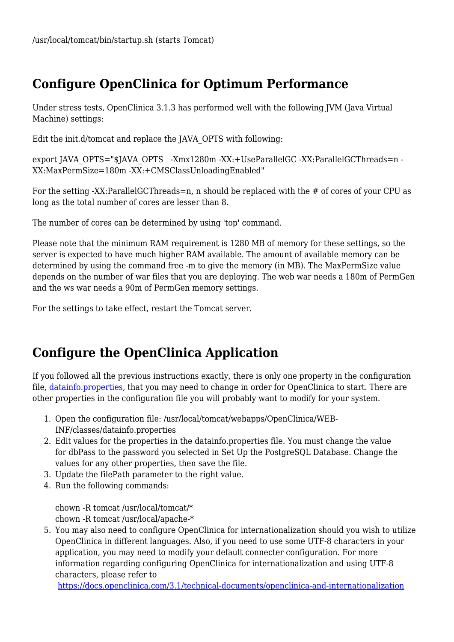# **Configure OpenClinica for Optimum Performance**

Under stress tests, OpenClinica 3.1.3 has performed well with the following JVM (Java Virtual Machine) settings:

Edit the init.d/tomcat and replace the JAVA\_OPTS with following:

export JAVA\_OPTS="\$JAVA\_OPTS -Xmx1280m -XX:+UseParallelGC -XX:ParallelGCThreads=n -XX:MaxPermSize=180m -XX:+CMSClassUnloadingEnabled"

For the setting -XX:ParallelGCThreads=n, n should be replaced with the # of cores of your CPU as long as the total number of cores are lesser than 8.

The number of cores can be determined by using 'top' command.

Please note that the minimum RAM requirement is 1280 MB of memory for these settings, so the server is expected to have much higher RAM available. The amount of available memory can be determined by using the command free -m to give the memory (in MB). The MaxPermSize value depends on the number of war files that you are deploying. The web war needs a 180m of PermGen and the ws war needs a 90m of PermGen memory settings.

For the settings to take effect, restart the Tomcat server.

# <span id="page-6-0"></span>**Configure the OpenClinica Application**

If you followed all the previous instructions exactly, there is only one property in the configuration file, [datainfo.properties](https://docs.openclinica.com/3-1/installation/install-3-2-linux/), that you may need to change in order for OpenClinica to start. There are other properties in the configuration file you will probably want to modify for your system.

- 1. Open the configuration file: /usr/local/tomcat/webapps/OpenClinica/WEB-INF/classes/datainfo.properties
- 2. Edit values for the properties in the datainfo.properties file. You must change the value for dbPass to the password you selected in Set Up the PostgreSQL Database. Change the values for any other properties, then save the file.
- 3. Update the filePath parameter to the right value.
- 4. Run the following commands:

chown -R tomcat /usr/local/tomcat/\* chown -R tomcat /usr/local/apache-\*

5. You may also need to configure OpenClinica for internationalization should you wish to utilize OpenClinica in different languages. Also, if you need to use some UTF-8 characters in your application, you may need to modify your default connecter configuration. For more information regarding configuring OpenClinica for internationalization and using UTF-8 characters, please refer to

<https://docs.openclinica.com/3.1/technical-documents/openclinica-and-internationalization>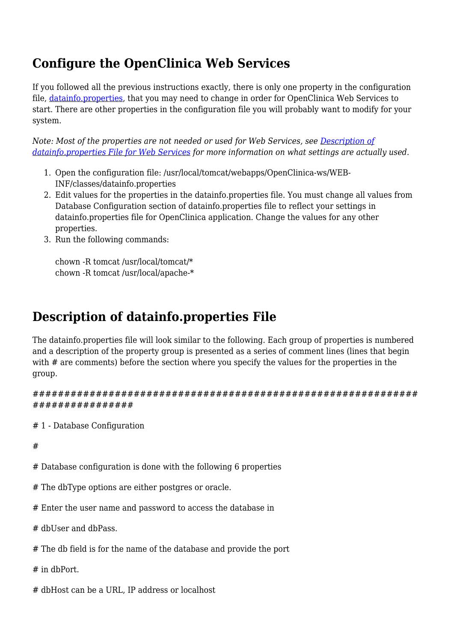# **Configure the OpenClinica Web Services**

If you followed all the previous instructions exactly, there is only one property in the configuration file, [datainfo.properties](https://docs.openclinica.com/3-1/installation/3-1-installation-install-3-1-x-linux/#content-8452), that you may need to change in order for OpenClinica Web Services to start. There are other properties in the configuration file you will probably want to modify for your system.

*Note: Most of the properties are not needed or used for Web Services, see [Description of](#page-20-0) [datainfo.properties File for Web Services](#page-20-0) for more information on what settings are actually used.*

- 1. Open the configuration file: /usr/local/tomcat/webapps/OpenClinica-ws/WEB-INF/classes/datainfo.properties
- 2. Edit values for the properties in the datainfo.properties file. You must change all values from Database Configuration section of datainfo.properties file to reflect your settings in datainfo.properties file for OpenClinica application. Change the values for any other properties.
- 3. Run the following commands:

chown -R tomcat /usr/local/tomcat/\* chown -R tomcat /usr/local/apache-\*

# **Description of datainfo.properties File**

The datainfo.properties file will look similar to the following. Each group of properties is numbered and a description of the property group is presented as a series of comment lines (lines that begin with # are comments) before the section where you specify the values for the properties in the group.

```
#############################################################
################
```
# 1 - Database Configuration

#

- # Database configuration is done with the following 6 properties
- # The dbType options are either postgres or oracle.
- # Enter the user name and password to access the database in
- # dbUser and dbPass.
- # The db field is for the name of the database and provide the port

# in dbPort.

# dbHost can be a URL, IP address or localhost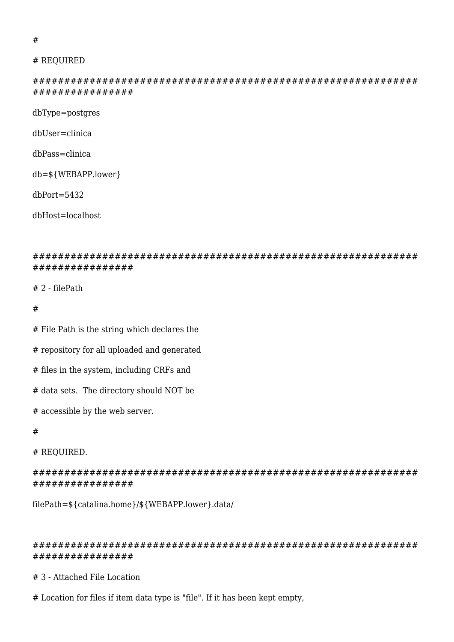#### #

#### # REQUIRED

############################################################# ################

dbType=postgres

dbUser=clinica

dbPass=clinica

db=\${WEBAPP.lower}

dbPort=5432

dbHost=localhost

############################################################# ################

# 2 - filePath

#

# File Path is the string which declares the

# repository for all uploaded and generated

# files in the system, including CRFs and

# data sets. The directory should NOT be

# accessible by the web server.

#

# REQUIRED.

############################################################# ################

filePath=\${catalina.home}/\${WEBAPP.lower}.data/

#### ############################################################# ################

# 3 - Attached File Location

# Location for files if item data type is "file". If it has been kept empty,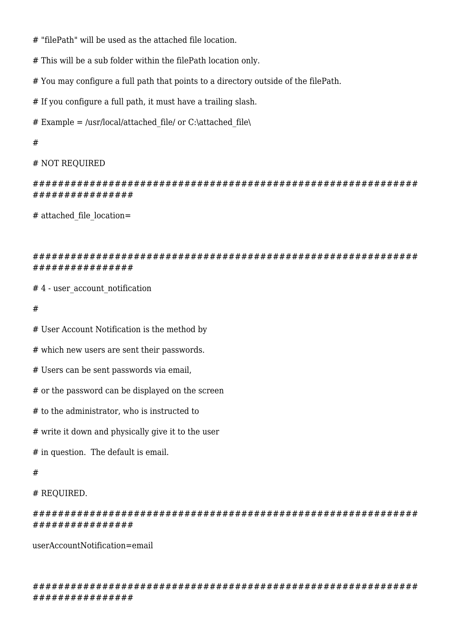- # "filePath" will be used as the attached file location.
- # This will be a sub folder within the filePath location only.
- # You may configure a full path that points to a directory outside of the filePath.
- # If you configure a full path, it must have a trailing slash.
- # Example = /usr/local/attached\_file/ or C:\attached\_file\
- #

#### # NOT REQUIRED

############################################################# ################

# attached file location=

#### ############################################################# ################

- #4 user\_account\_notification
- #
- # User Account Notification is the method by
- # which new users are sent their passwords.
- # Users can be sent passwords via email,
- # or the password can be displayed on the screen
- # to the administrator, who is instructed to
- # write it down and physically give it to the user
- # in question. The default is email.

#### #

### # REQUIRED.

############################################################# ################

userAccountNotification=email

############################################################# ################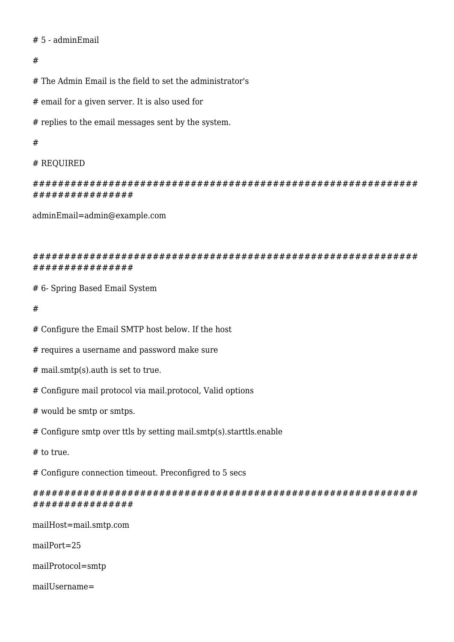# # 5 - adminEmail

### #

# The Admin Email is the field to set the administrator's

# email for a given server. It is also used for

# replies to the email messages sent by the system.

### #

# # REQUIRED

############################################################# ################

adminEmail=admin@example.com

### ############################################################# ################

# 6- Spring Based Email System

- #
- # Configure the Email SMTP host below. If the host
- # requires a username and password make sure
- # mail.smtp(s).auth is set to true.
- # Configure mail protocol via mail.protocol, Valid options
- # would be smtp or smtps.
- # Configure smtp over ttls by setting mail.smtp(s).starttls.enable
- # to true.

# Configure connection timeout. Preconfigred to 5 secs

# ############################################################# ################

mailHost=mail.smtp.com

mailPort=25

mailProtocol=smtp

mailUsername=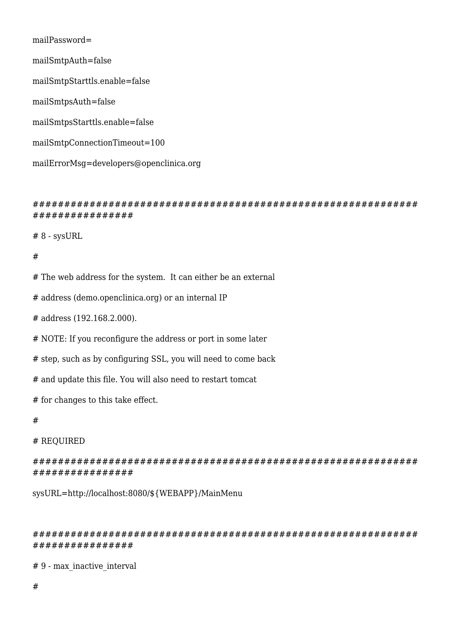mailPassword= mailSmtpAuth=false mailSmtpStarttls.enable=false mailSmtpsAuth=false mailSmtpsStarttls.enable=false mailSmtpConnectionTimeout=100 mailErrorMsg=developers@openclinica.org

# ############################################################# ################

# 8 - sysURL

#

# The web address for the system. It can either be an external

# address (demo.openclinica.org) or an internal IP

# address (192.168.2.000).

# NOTE: If you reconfigure the address or port in some later

# step, such as by configuring SSL, you will need to come back

# and update this file. You will also need to restart tomcat

# for changes to this take effect.

#

### # REQUIRED

############################################################# ################

sysURL=http://localhost:8080/\${WEBAPP}/MainMenu

############################################################# ################

# 9 - max\_inactive\_interval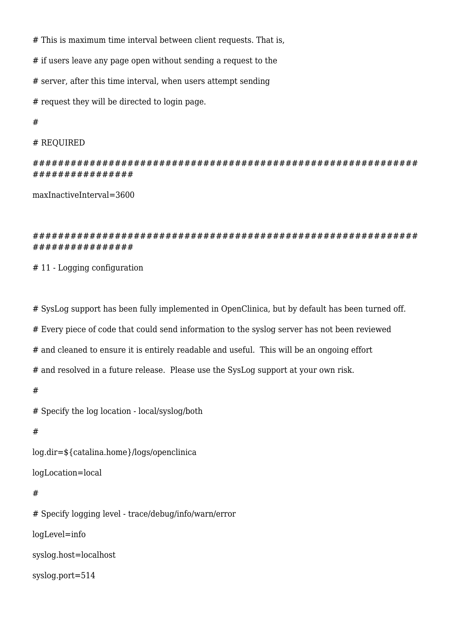# This is maximum time interval between client requests. That is,

# if users leave any page open without sending a request to the

# server, after this time interval, when users attempt sending

# request they will be directed to login page.

#

```
# REQUIRED
```
############################################################# ################

maxInactiveInterval=3600

### ############################################################# ################

# 11 - Logging configuration

# SysLog support has been fully implemented in OpenClinica, but by default has been turned off.

# Every piece of code that could send information to the syslog server has not been reviewed

# and cleaned to ensure it is entirely readable and useful. This will be an ongoing effort

# and resolved in a future release. Please use the SysLog support at your own risk.

#

# Specify the log location - local/syslog/both

#

log.dir=\${catalina.home}/logs/openclinica

logLocation=local

### #

# Specify logging level - trace/debug/info/warn/error logLevel=info syslog.host=localhost syslog.port=514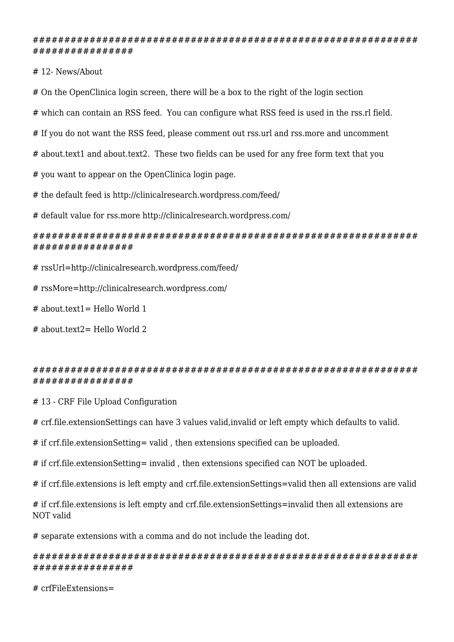############################################################# ################

# 12- News/About

# On the OpenClinica login screen, there will be a box to the right of the login section

# which can contain an RSS feed. You can configure what RSS feed is used in the rss.rl field.

# If you do not want the RSS feed, please comment out rss.url and rss.more and uncomment

# about.text1 and about.text2. These two fields can be used for any free form text that you

# you want to appear on the OpenClinica login page.

# the default feed is http://clinicalresearch.wordpress.com/feed/

# default value for rss.more http://clinicalresearch.wordpress.com/

#### ############################################################# ################

- # rssUrl=http://clinicalresearch.wordpress.com/feed/
- # rssMore=http://clinicalresearch.wordpress.com/
- $#$  about text1 = Hello World 1
- # about.text2= Hello World 2

#### ############################################################# ################

# 13 - CRF File Upload Configuration

# crf.file.extensionSettings can have 3 values valid,invalid or left empty which defaults to valid.

# if crf.file.extensionSetting= valid , then extensions specified can be uploaded.

# if crf.file.extensionSetting= invalid , then extensions specified can NOT be uploaded.

# if crf.file.extensions is left empty and crf.file.extensionSettings=valid then all extensions are valid

# if crf.file.extensions is left empty and crf.file.extensionSettings=invalid then all extensions are NOT valid

# separate extensions with a comma and do not include the leading dot.

### ############################################################# ################

# crfFileExtensions=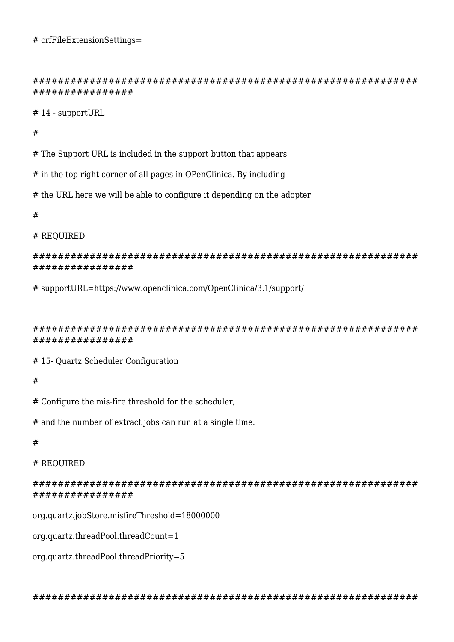############################################################# ################

# 14 - supportURL

#

# The Support URL is included in the support button that appears

# in the top right corner of all pages in OPenClinica. By including

# the URL here we will be able to configure it depending on the adopter

#

#### # REQUIRED

############################################################# ################

# supportURL=https://www.openclinica.com/OpenClinica/3.1/support/

############################################################# ################

# 15- Quartz Scheduler Configuration

#

# Configure the mis-fire threshold for the scheduler,

# and the number of extract jobs can run at a single time.

#

# REQUIRED

############################################################# ################

org.quartz.jobStore.misfireThreshold=18000000

org.quartz.threadPool.threadCount=1

org.quartz.threadPool.threadPriority=5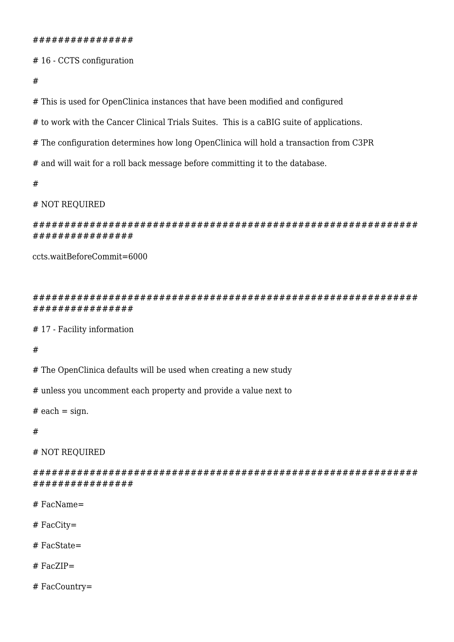# 16 - CCTS configuration

#

# This is used for OpenClinica instances that have been modified and configured

# to work with the Cancer Clinical Trials Suites. This is a caBIG suite of applications.

# The configuration determines how long OpenClinica will hold a transaction from C3PR

# and will wait for a roll back message before committing it to the database.

#

### # NOT REQUIRED

############################################################# ################

ccts.waitBeforeCommit=6000

############################################################# ################

# 17 - Facility information

#

# The OpenClinica defaults will be used when creating a new study

# unless you uncomment each property and provide a value next to

 $#$  each = sign.

#

# NOT REQUIRED

############################################################# ################

# FacName=

- # FacCity=
- # FacState=

# FacZIP=

# FacCountry=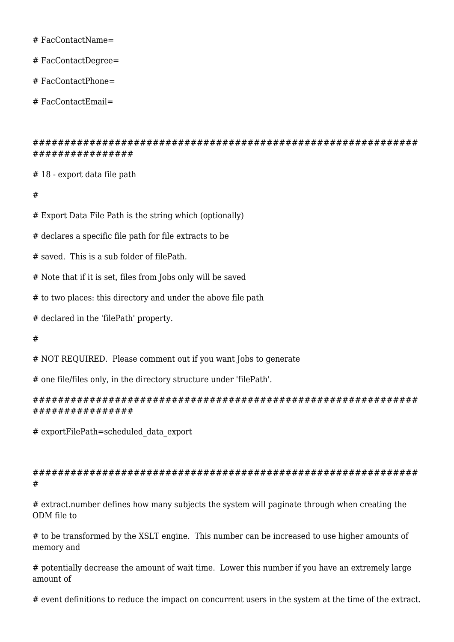# FacContactName=

# FacContactDegree=

# FacContactPhone=

# FacContactEmail=

############################################################# ################

# 18 - export data file path

#

# Export Data File Path is the string which (optionally)

# declares a specific file path for file extracts to be

# saved. This is a sub folder of filePath.

# Note that if it is set, files from Jobs only will be saved

# to two places: this directory and under the above file path

# declared in the 'filePath' property.

#

# NOT REQUIRED. Please comment out if you want Jobs to generate

# one file/files only, in the directory structure under 'filePath'.

############################################################# ################

# exportFilePath=scheduled\_data\_export

# ############################################################# #

# extract.number defines how many subjects the system will paginate through when creating the ODM file to

# to be transformed by the XSLT engine. This number can be increased to use higher amounts of memory and

# potentially decrease the amount of wait time. Lower this number if you have an extremely large amount of

# event definitions to reduce the impact on concurrent users in the system at the time of the extract.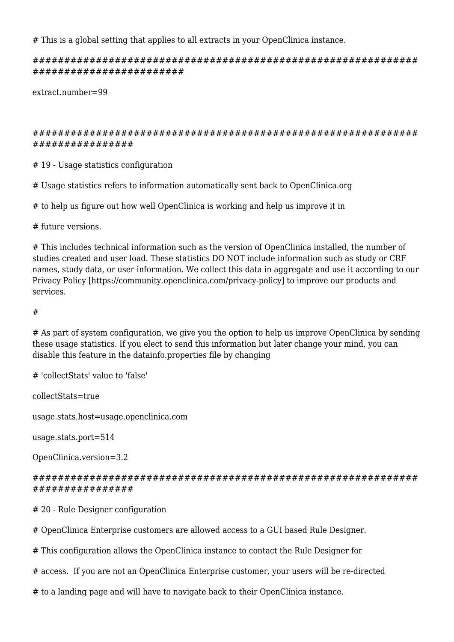# This is a global setting that applies to all extracts in your OpenClinica instance.

############################################################# ########################

extract.number=99

# ############################################################# ################

# 19 - Usage statistics configuration

# Usage statistics refers to information automatically sent back to OpenClinica.org

# to help us figure out how well OpenClinica is working and help us improve it in

# future versions.

# This includes technical information such as the version of OpenClinica installed, the number of studies created and user load. These statistics DO NOT include information such as study or CRF names, study data, or user information. We collect this data in aggregate and use it according to our Privacy Policy [https://community.openclinica.com/privacy-policy] to improve our products and services.

### #

# As part of system configuration, we give you the option to help us improve OpenClinica by sending these usage statistics. If you elect to send this information but later change your mind, you can disable this feature in the datainfo.properties file by changing

# 'collectStats' value to 'false'

collectStats=true

usage.stats.host=usage.openclinica.com

usage.stats.port=514

OpenClinica.version=3.2

### ############################################################# ################

# 20 - Rule Designer configuration

# OpenClinica Enterprise customers are allowed access to a GUI based Rule Designer.

# This configuration allows the OpenClinica instance to contact the Rule Designer for

# access. If you are not an OpenClinica Enterprise customer, your users will be re-directed

# to a landing page and will have to navigate back to their OpenClinica instance.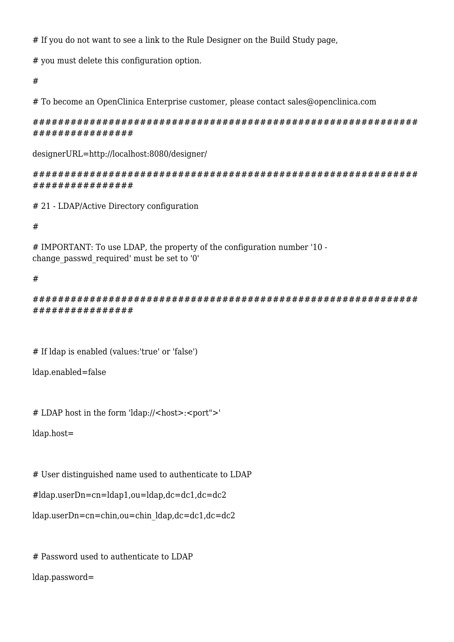# If you do not want to see a link to the Rule Designer on the Build Study page,

# you must delete this configuration option.

#

# To become an OpenClinica Enterprise customer, please contact sales@openclinica.com

############################################################# ################

designerURL=http://localhost:8080/designer/

############################################################# ################

# 21 - LDAP/Active Directory configuration

#

# IMPORTANT: To use LDAP, the property of the configuration number '10 change\_passwd\_required' must be set to '0'

### #

############################################################# ################

# If ldap is enabled (values:'true' or 'false')

```
ldap.enabled=false
```
# LDAP host in the form 'ldap://<host>:<port">'

ldap.host=

# User distinguished name used to authenticate to LDAP

#ldap.userDn=cn=ldap1,ou=ldap,dc=dc1,dc=dc2

ldap.userDn=cn=chin,ou=chin\_ldap,dc=dc1,dc=dc2

# Password used to authenticate to LDAP

ldap.password=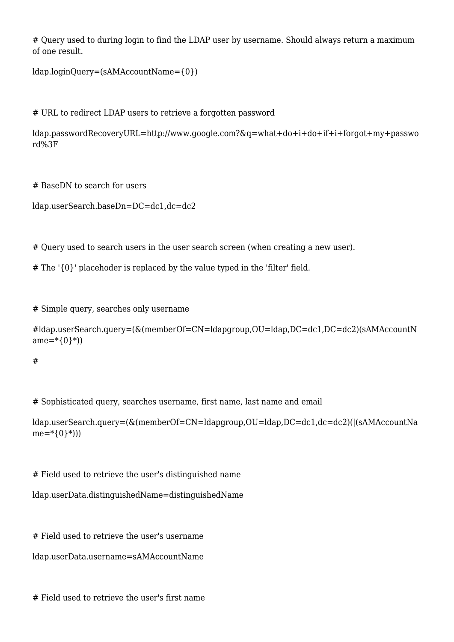# Ouerv used to during login to find the LDAP user by username. Should always return a maximum of one result.

```
ldap.loginQuery=(sAMAccountName={0})
```
# URL to redirect LDAP users to retrieve a forgotten password

ldap.passwordRecoveryURL=http://www.google.com?&q=what+do+i+do+if+i+forgot+my+passwo rd%3F

# BaseDN to search for users

ldap.userSearch.baseDn=DC=dc1,dc=dc2

# Query used to search users in the user search screen (when creating a new user).

# The '{0}' placehoder is replaced by the value typed in the 'filter' field.

# Simple query, searches only username

```
#ldap.userSearch.query=(&(memberOf=CN=ldapgroup,OU=ldap,DC=dc1,DC=dc2)(sAMAccountN
ame=\*{0}\*)
```
#

# Sophisticated query, searches username, first name, last name and email

ldap.userSearch.query=(&(memberOf=CN=ldapgroup,OU=ldap,DC=dc1,dc=dc2)(|(sAMAccountNa  $me=\ast(0\}*)$ )

# Field used to retrieve the user's distinguished name

ldap.userData.distinguishedName=distinguishedName

# Field used to retrieve the user's username

```
ldap.userData.username=sAMAccountName
```
# Field used to retrieve the user's first name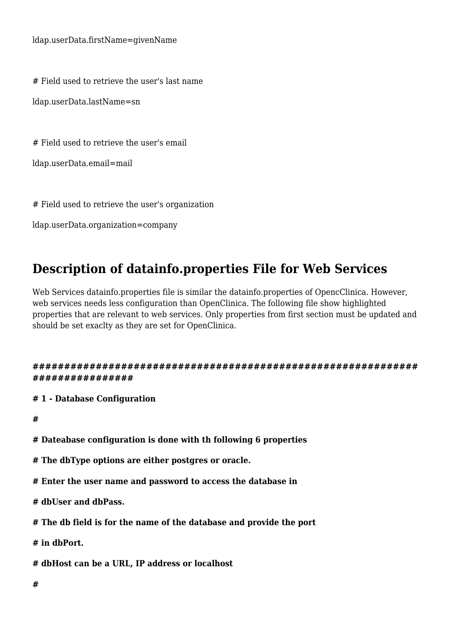ldap.userData.firstName=givenName

# Field used to retrieve the user's last name

ldap.userData.lastName=sn

# Field used to retrieve the user's email

ldap.userData.email=mail

# Field used to retrieve the user's organization

ldap.userData.organization=company

# <span id="page-20-0"></span>**Description of datainfo.properties File for Web Services**

Web Services datainfo.properties file is similar the datainfo.properties of OpencClinica. However, web services needs less configuration than OpenClinica. The following file show highlighted properties that are relevant to web services. Only properties from first section must be updated and should be set exaclty as they are set for OpenClinica.

**############################################################# ################**

**# 1 - Database Configuration**

**#**

- **# Dateabase configuration is done with th following 6 properties**
- **# The dbType options are either postgres or oracle.**
- **# Enter the user name and password to access the database in**
- **# dbUser and dbPass.**
- **# The db field is for the name of the database and provide the port**

**# in dbPort.**

**# dbHost can be a URL, IP address or localhost**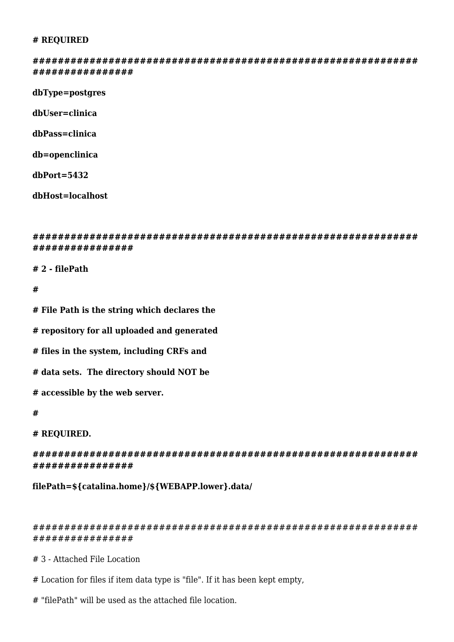#### **# REQUIRED**

**############################################################# ################**

**dbType=postgres**

**dbUser=clinica**

**dbPass=clinica**

**db=openclinica**

**dbPort=5432**

**dbHost=localhost**

**############################################################# ################**

**# 2 - filePath**

#### **#**

**# File Path is the string which declares the**

**# repository for all uploaded and generated**

**# files in the system, including CRFs and**

**# data sets. The directory should NOT be**

**# accessible by the web server.**

#### **#**

#### **# REQUIRED.**

**############################################################# ################**

**filePath=\${catalina.home}/\${WEBAPP.lower}.data/**

#### ############################################################# ################

# 3 - Attached File Location

- # Location for files if item data type is "file". If it has been kept empty,
- # "filePath" will be used as the attached file location.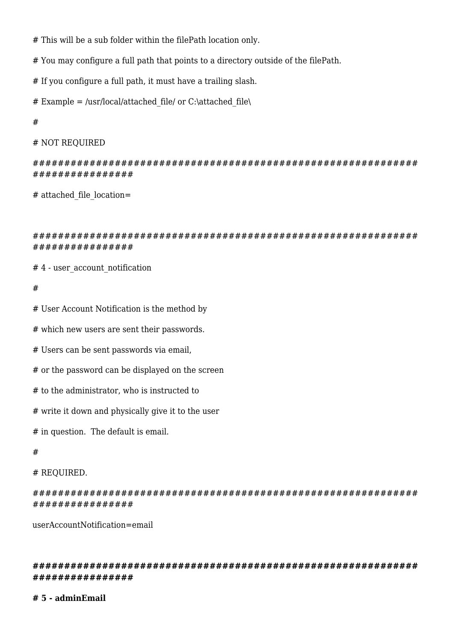- # This will be a sub folder within the filePath location only.
- # You may configure a full path that points to a directory outside of the filePath.
- # If you configure a full path, it must have a trailing slash.
- # Example = /usr/local/attached file/ or C:\attached file\

#

# NOT REQUIRED

```
#############################################################
################
```
# attached file location=

############################################################# ################

#4 - user\_account\_notification

#

# User Account Notification is the method by

# which new users are sent their passwords.

# Users can be sent passwords via email,

# or the password can be displayed on the screen

# to the administrator, who is instructed to

# write it down and physically give it to the user

# in question. The default is email.

#

# REQUIRED.

############################################################# ################

userAccountNotification=email

**############################################################# ################**

#### **# 5 - adminEmail**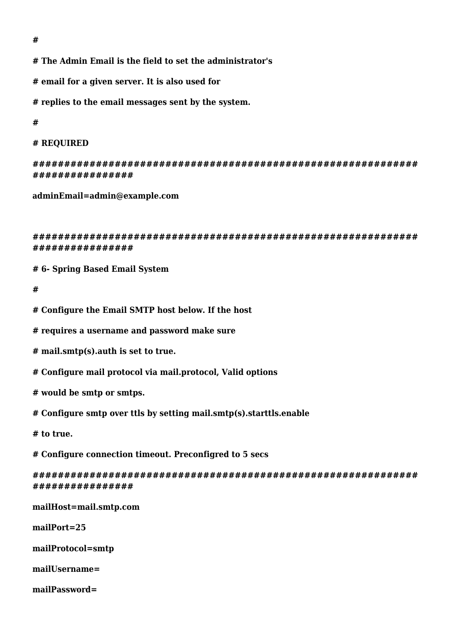**#**

**# The Admin Email is the field to set the administrator's**

**# email for a given server. It is also used for**

**# replies to the email messages sent by the system.**

**#**

```
# REQUIRED
```
**############################################################# ################**

**adminEmail=admin@example.com**

**############################################################# ################**

**# 6- Spring Based Email System**

**#**

**# Configure the Email SMTP host below. If the host**

**# requires a username and password make sure**

**# mail.smtp(s).auth is set to true.**

**# Configure mail protocol via mail.protocol, Valid options** 

**# would be smtp or smtps.**

**# Configure smtp over ttls by setting mail.smtp(s).starttls.enable**

**# to true.**

**# Configure connection timeout. Preconfigred to 5 secs**

**############################################################# ################**

**mailHost=mail.smtp.com**

**mailPort=25**

**mailProtocol=smtp**

**mailUsername=**

**mailPassword=**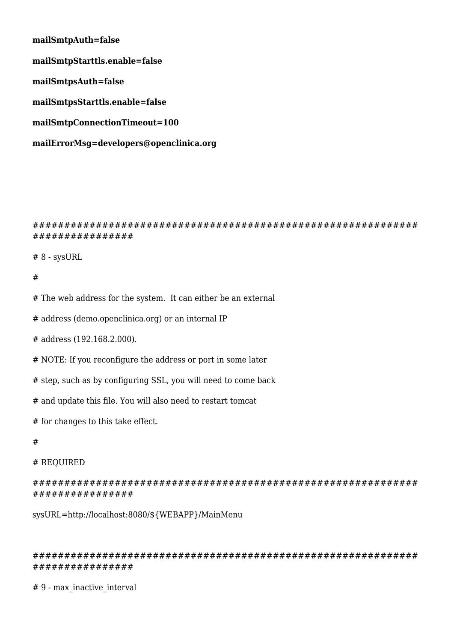**mailSmtpAuth=false mailSmtpStarttls.enable=false mailSmtpsAuth=false mailSmtpsStarttls.enable=false mailSmtpConnectionTimeout=100 mailErrorMsg=developers@openclinica.org**

############################################################# ################

# 8 - sysURL

### #

# The web address for the system. It can either be an external

# address (demo.openclinica.org) or an internal IP

# address (192.168.2.000).

# NOTE: If you reconfigure the address or port in some later

# step, such as by configuring SSL, you will need to come back

# and update this file. You will also need to restart tomcat

# for changes to this take effect.

#### #

#### # REQUIRED

############################################################# ################

sysURL=http://localhost:8080/\${WEBAPP}/MainMenu

############################################################# ################

# 9 - max\_inactive\_interval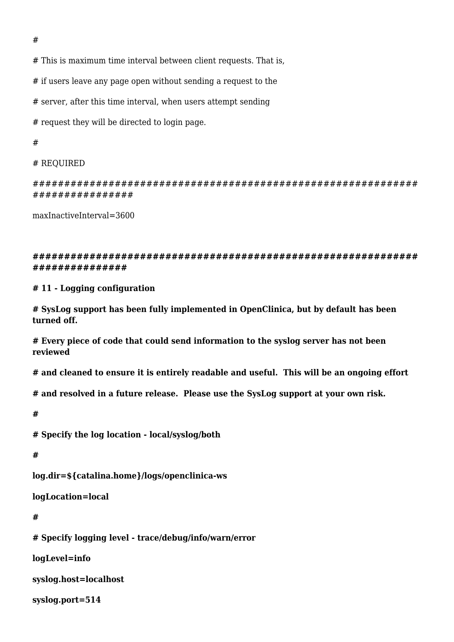# This is maximum time interval between client requests. That is,

# if users leave any page open without sending a request to the

# server, after this time interval, when users attempt sending

# request they will be directed to login page.

#

# REQUIRED

############################################################# ################

maxInactiveInterval=3600

**############################################################# ###############**

**# 11 - Logging configuration**

**# SysLog support has been fully implemented in OpenClinica, but by default has been turned off.**

**# Every piece of code that could send information to the syslog server has not been reviewed** 

**# and cleaned to ensure it is entirely readable and useful. This will be an ongoing effort** 

**# and resolved in a future release. Please use the SysLog support at your own risk.**

**#**

**# Specify the log location - local/syslog/both**

**#**

**log.dir=\${catalina.home}/logs/openclinica-ws**

**logLocation=local**

**#**

**# Specify logging level - trace/debug/info/warn/error**

**logLevel=info**

**syslog.host=localhost**

**syslog.port=514**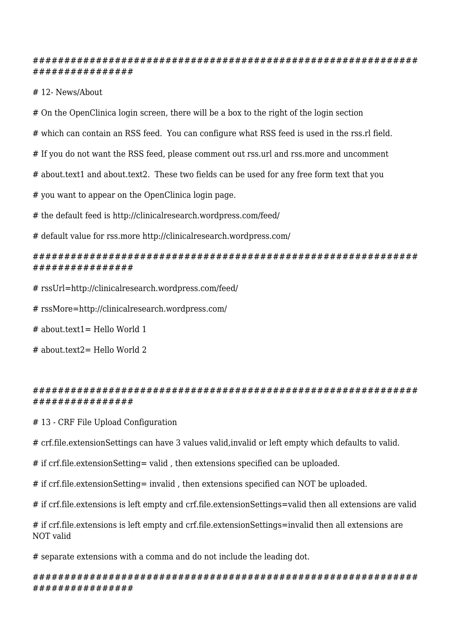### ############################################################# ################

# 12- News/About

# On the OpenClinica login screen, there will be a box to the right of the login section

# which can contain an RSS feed. You can configure what RSS feed is used in the rss.rl field.

# If you do not want the RSS feed, please comment out rss.url and rss.more and uncomment

# about.text1 and about.text2. These two fields can be used for any free form text that you

# you want to appear on the OpenClinica login page.

# the default feed is http://clinicalresearch.wordpress.com/feed/

# default value for rss.more http://clinicalresearch.wordpress.com/

### ############################################################# ################

- # rssUrl=http://clinicalresearch.wordpress.com/feed/
- # rssMore=http://clinicalresearch.wordpress.com/
- # about.text1= Hello World 1

# about.text2= Hello World 2

# ############################################################# ################

# 13 - CRF File Upload Configuration

# crf.file.extensionSettings can have 3 values valid,invalid or left empty which defaults to valid.

# if crf.file.extensionSetting= valid , then extensions specified can be uploaded.

# if crf.file.extensionSetting= invalid , then extensions specified can NOT be uploaded.

# if crf.file.extensions is left empty and crf.file.extensionSettings=valid then all extensions are valid

# if crf.file.extensions is left empty and crf.file.extensionSettings=invalid then all extensions are NOT valid

# separate extensions with a comma and do not include the leading dot.

### ############################################################# ################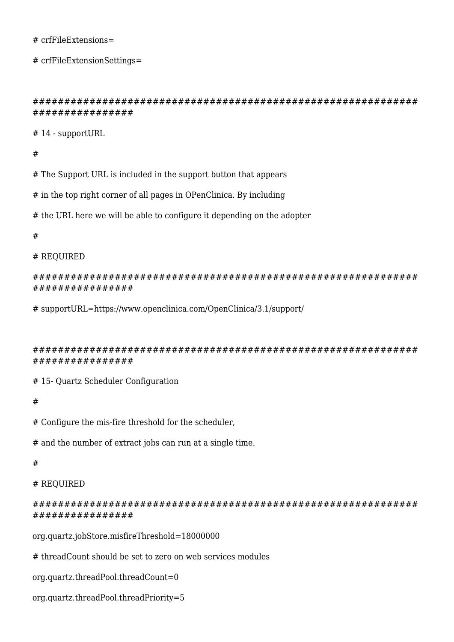#### # crfFileExtensions=

# crfFileExtensionSettings=

```
#############################################################
################
```
# 14 - supportURL

#

# The Support URL is included in the support button that appears

# in the top right corner of all pages in OPenClinica. By including

# the URL here we will be able to configure it depending on the adopter

#

### # REQUIRED

############################################################# ################

# supportURL=https://www.openclinica.com/OpenClinica/3.1/support/

############################################################# ################

# 15- Quartz Scheduler Configuration

#

# Configure the mis-fire threshold for the scheduler,

# and the number of extract jobs can run at a single time.

#

# REQUIRED

# ############################################################# ################

org.quartz.jobStore.misfireThreshold=18000000

# threadCount should be set to zero on web services modules

org.quartz.threadPool.threadCount=0

org.quartz.threadPool.threadPriority=5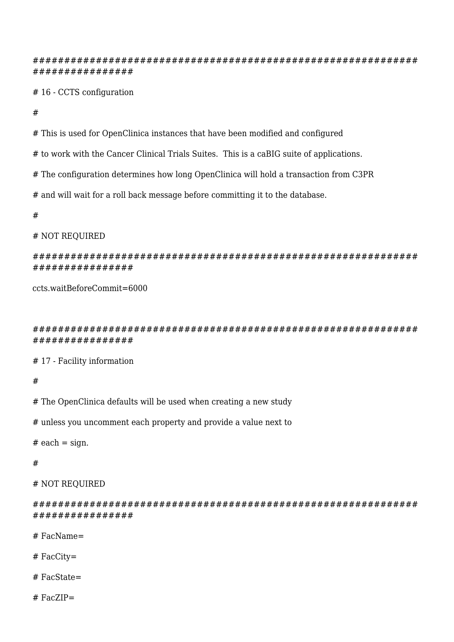############################################################# ################

# 16 - CCTS configuration

#

# This is used for OpenClinica instances that have been modified and configured

# to work with the Cancer Clinical Trials Suites. This is a caBIG suite of applications.

# The configuration determines how long OpenClinica will hold a transaction from C3PR

# and will wait for a roll back message before committing it to the database.

#

### # NOT REQUIRED

### ############################################################# ################

ccts.waitBeforeCommit=6000

############################################################# ################

# 17 - Facility information

#

# The OpenClinica defaults will be used when creating a new study

# unless you uncomment each property and provide a value next to

 $#$  each = sign.

#

### # NOT REQUIRED

############################################################# ################

# FacName=

# FacCity=

# FacState=

# FacZIP=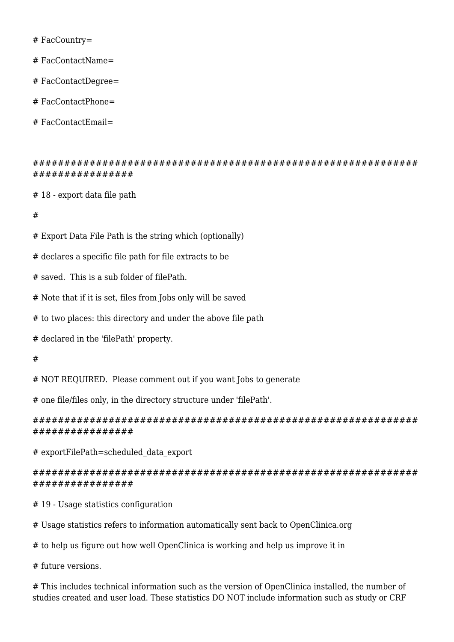# FacCountry=

# FacContactName=

# FacContactDegree=

# FacContactPhone=

# FacContactEmail=

############################################################# ################

# 18 - export data file path

#

# Export Data File Path is the string which (optionally)

# declares a specific file path for file extracts to be

# saved. This is a sub folder of filePath.

# Note that if it is set, files from Jobs only will be saved

# to two places: this directory and under the above file path

# declared in the 'filePath' property.

#

# NOT REQUIRED. Please comment out if you want Jobs to generate

# one file/files only, in the directory structure under 'filePath'.

############################################################# ################

# exportFilePath=scheduled\_data\_export

############################################################# ################

# 19 - Usage statistics configuration

# Usage statistics refers to information automatically sent back to OpenClinica.org

# to help us figure out how well OpenClinica is working and help us improve it in

# future versions.

# This includes technical information such as the version of OpenClinica installed, the number of studies created and user load. These statistics DO NOT include information such as study or CRF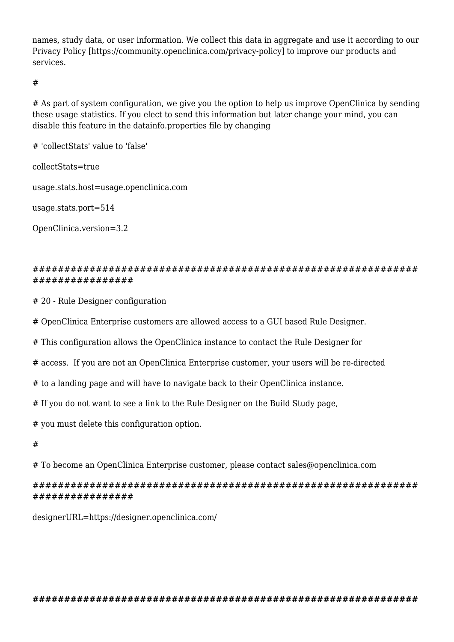names, study data, or user information. We collect this data in aggregate and use it according to our Privacy Policy [https://community.openclinica.com/privacy-policy] to improve our products and services.

#

# As part of system configuration, we give you the option to help us improve OpenClinica by sending these usage statistics. If you elect to send this information but later change your mind, you can disable this feature in the datainfo.properties file by changing

# 'collectStats' value to 'false'

collectStats=true

usage.stats.host=usage.openclinica.com

usage.stats.port=514

OpenClinica.version=3.2

### ############################################################# ################

# 20 - Rule Designer configuration

# OpenClinica Enterprise customers are allowed access to a GUI based Rule Designer.

# This configuration allows the OpenClinica instance to contact the Rule Designer for

# access. If you are not an OpenClinica Enterprise customer, your users will be re-directed

# to a landing page and will have to navigate back to their OpenClinica instance.

# If you do not want to see a link to the Rule Designer on the Build Study page,

# you must delete this configuration option.

#

# To become an OpenClinica Enterprise customer, please contact sales@openclinica.com

# ############################################################# ################

designerURL=https://designer.openclinica.com/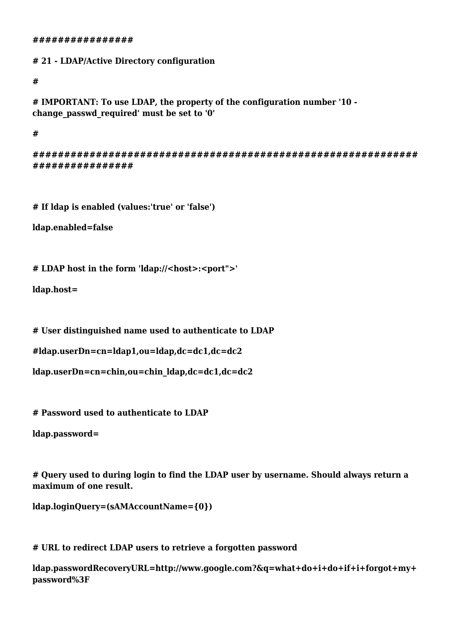#### **################**

**# 21 - LDAP/Active Directory configuration**

**#**

**# IMPORTANT: To use LDAP, the property of the configuration number '10 change\_passwd\_required' must be set to '0'**

**#** 

**############################################################# ################**

**# If ldap is enabled (values:'true' or 'false')**

**ldap.enabled=false**

**# LDAP host in the form 'ldap://<host>:<port">'**

**ldap.host=**

**# User distinguished name used to authenticate to LDAP**

```
#ldap.userDn=cn=ldap1,ou=ldap,dc=dc1,dc=dc2
```

```
ldap.userDn=cn=chin,ou=chin_ldap,dc=dc1,dc=dc2
```
**# Password used to authenticate to LDAP**

**ldap.password=**

**# Query used to during login to find the LDAP user by username. Should always return a maximum of one result.**

**ldap.loginQuery=(sAMAccountName={0})**

**# URL to redirect LDAP users to retrieve a forgotten password**

**ldap.passwordRecoveryURL=http://www.google.com?&q=what+do+i+do+if+i+forgot+my+ password%3F**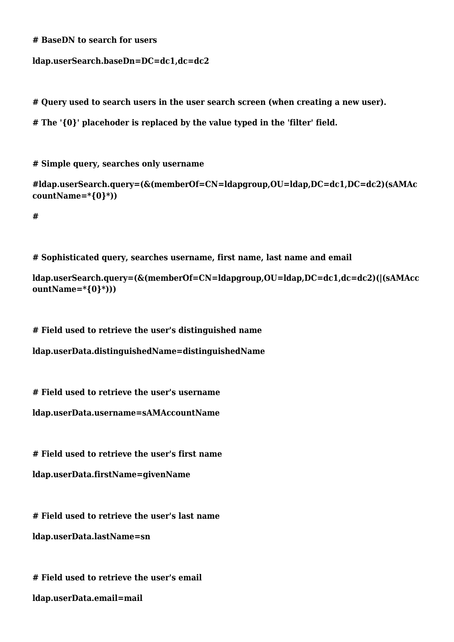```
# BaseDN to search for users
```

```
ldap.userSearch.baseDn=DC=dc1,dc=dc2
```
**# Query used to search users in the user search screen (when creating a new user).** 

**# The '{0}' placehoder is replaced by the value typed in the 'filter' field.**

**# Simple query, searches only username**

**#ldap.userSearch.query=(&(memberOf=CN=ldapgroup,OU=ldap,DC=dc1,DC=dc2)(sAMAc countName=\*{0}\*))**

**#**

**# Sophisticated query, searches username, first name, last name and email**

```
ldap.userSearch.query=(&(memberOf=CN=ldapgroup,OU=ldap,DC=dc1,dc=dc2)(|(sAMAcc
ountName=*{0}*)))
```
**# Field used to retrieve the user's distinguished name**

**ldap.userData.distinguishedName=distinguishedName**

**# Field used to retrieve the user's username**

**ldap.userData.username=sAMAccountName**

**# Field used to retrieve the user's first name** 

**ldap.userData.firstName=givenName**

**# Field used to retrieve the user's last name**

**ldap.userData.lastName=sn**

**# Field used to retrieve the user's email ldap.userData.email=mail**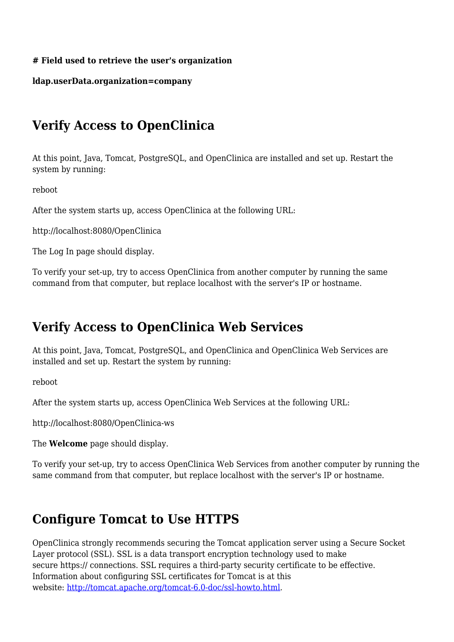# **# Field used to retrieve the user's organization**

# **ldap.userData.organization=company**

# <span id="page-33-0"></span>**Verify Access to OpenClinica**

At this point, Java, Tomcat, PostgreSQL, and OpenClinica are installed and set up. Restart the system by running:

reboot

After the system starts up, access OpenClinica at the following URL:

http://localhost:8080/OpenClinica

The Log In page should display.

To verify your set-up, try to access OpenClinica from another computer by running the same command from that computer, but replace localhost with the server's IP or hostname.

# **Verify Access to OpenClinica Web Services**

At this point, Java, Tomcat, PostgreSQL, and OpenClinica and OpenClinica Web Services are installed and set up. Restart the system by running:

reboot

After the system starts up, access OpenClinica Web Services at the following URL:

http://localhost:8080/OpenClinica-ws

The **Welcome** page should display.

To verify your set-up, try to access OpenClinica Web Services from another computer by running the same command from that computer, but replace localhost with the server's IP or hostname.

# <span id="page-33-1"></span>**Configure Tomcat to Use HTTPS**

OpenClinica strongly recommends securing the Tomcat application server using a Secure Socket Layer protocol (SSL). SSL is a data transport encryption technology used to make secure https:// connections. SSL requires a third-party security certificate to be effective. Information about configuring SSL certificates for Tomcat is at this website: <http://tomcat.apache.org/tomcat-6.0-doc/ssl-howto.html>.